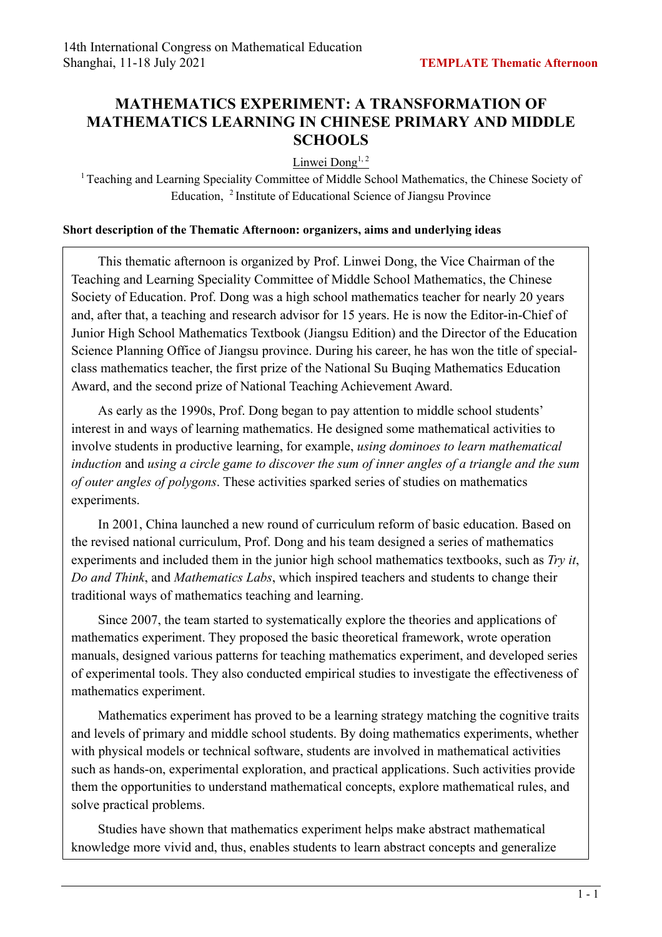## **MATHEMATICS EXPERIMENT: A TRANSFORMATION OF MATHEMATICS LEARNING IN CHINESE PRIMARY AND MIDDLE SCHOOLS**

Linwei Dong<sup>1, 2</sup>

<sup>1</sup> Teaching and Learning Speciality Committee of Middle School Mathematics, the Chinese Society of Education, 2 Institute of Educational Science of Jiangsu Province

## **Short description of the Thematic Afternoon: organizers, aims and underlying ideas**

This thematic afternoon is organized by Prof. Linwei Dong, the Vice Chairman of the Teaching and Learning Speciality Committee of Middle School Mathematics, the Chinese Society of Education. Prof. Dong was a high school mathematics teacher for nearly 20 years and, after that, a teaching and research advisor for 15 years. He is now the Editor-in-Chief of Junior High School Mathematics Textbook (Jiangsu Edition) and the Director of the Education Science Planning Office of Jiangsu province. During his career, he has won the title of specialclass mathematics teacher, the first prize of the National Su Buqing Mathematics Education Award, and the second prize of National Teaching Achievement Award.

As early as the 1990s, Prof. Dong began to pay attention to middle school students' interest in and ways of learning mathematics. He designed some mathematical activities to involve students in productive learning, for example, *using dominoes to learn mathematical induction* and *using a circle game to discover the sum of inner angles of a triangle and the sum of outer angles of polygons*. These activities sparked series of studies on mathematics experiments.

In 2001, China launched a new round of curriculum reform of basic education. Based on the revised national curriculum, Prof. Dong and his team designed a series of mathematics experiments and included them in the junior high school mathematics textbooks, such as *Try it*, *Do and Think*, and *Mathematics Labs*, which inspired teachers and students to change their traditional ways of mathematics teaching and learning.

Since 2007, the team started to systematically explore the theories and applications of mathematics experiment. They proposed the basic theoretical framework, wrote operation manuals, designed various patterns for teaching mathematics experiment, and developed series of experimental tools. They also conducted empirical studies to investigate the effectiveness of mathematics experiment.

Mathematics experiment has proved to be a learning strategy matching the cognitive traits and levels of primary and middle school students. By doing mathematics experiments, whether with physical models or technical software, students are involved in mathematical activities such as hands-on, experimental exploration, and practical applications. Such activities provide them the opportunities to understand mathematical concepts, explore mathematical rules, and solve practical problems.

Studies have shown that mathematics experiment helps make abstract mathematical knowledge more vivid and, thus, enables students to learn abstract concepts and generalize